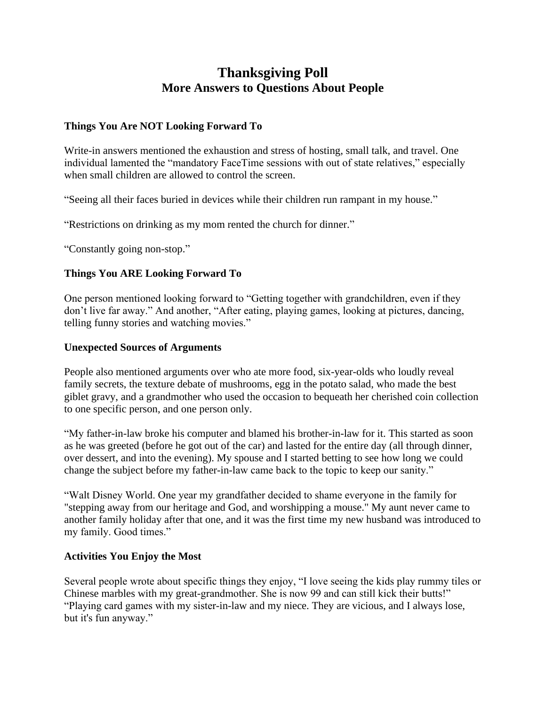# **Thanksgiving Poll More Answers to Questions About People**

## **Things You Are NOT Looking Forward To**

Write-in answers mentioned the exhaustion and stress of hosting, small talk, and travel. One individual lamented the "mandatory FaceTime sessions with out of state relatives," especially when small children are allowed to control the screen.

"Seeing all their faces buried in devices while their children run rampant in my house."

"Restrictions on drinking as my mom rented the church for dinner."

"Constantly going non-stop."

### **Things You ARE Looking Forward To**

One person mentioned looking forward to "Getting together with grandchildren, even if they don't live far away." And another, "After eating, playing games, looking at pictures, dancing, telling funny stories and watching movies."

#### **Unexpected Sources of Arguments**

People also mentioned arguments over who ate more food, six-year-olds who loudly reveal family secrets, the texture debate of mushrooms, egg in the potato salad, who made the best giblet gravy, and a grandmother who used the occasion to bequeath her cherished coin collection to one specific person, and one person only.

"My father-in-law broke his computer and blamed his brother-in-law for it. This started as soon as he was greeted (before he got out of the car) and lasted for the entire day (all through dinner, over dessert, and into the evening). My spouse and I started betting to see how long we could change the subject before my father-in-law came back to the topic to keep our sanity."

"Walt Disney World. One year my grandfather decided to shame everyone in the family for "stepping away from our heritage and God, and worshipping a mouse." My aunt never came to another family holiday after that one, and it was the first time my new husband was introduced to my family. Good times."

#### **Activities You Enjoy the Most**

Several people wrote about specific things they enjoy, "I love seeing the kids play rummy tiles or Chinese marbles with my great-grandmother. She is now 99 and can still kick their butts!" "Playing card games with my sister-in-law and my niece. They are vicious, and I always lose, but it's fun anyway."